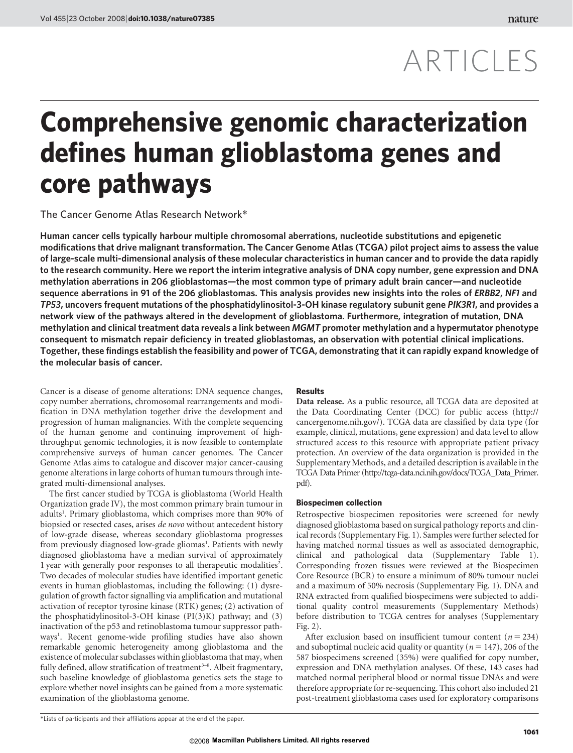# ARTICLES

# Comprehensive genomic characterization defines human glioblastoma genes and core pathways

The Cancer Genome Atlas Research Network\*

Human cancer cells typically harbour multiple chromosomal aberrations, nucleotide substitutions and epigenetic modifications that drive malignant transformation. The Cancer Genome Atlas (TCGA) pilot project aims to assess the value of large-scale multi-dimensional analysis of these molecular characteristics in human cancer and to provide the data rapidly to the research community. Here we report the interim integrative analysis of DNA copy number, gene expression and DNA methylation aberrations in 206 glioblastomas—the most common type of primary adult brain cancer—and nucleotide sequence aberrations in 91 of the 206 glioblastomas. This analysis provides new insights into the roles of ERBB2, NF1 and TP53, uncovers frequent mutations of the phosphatidylinositol-3-OH kinase regulatory subunit gene PIK3R1, and provides a network view of the pathways altered in the development of glioblastoma. Furthermore, integration of mutation, DNA methylation and clinical treatment data reveals a link between MGMT promoter methylation and a hypermutator phenotype consequent to mismatch repair deficiency in treated glioblastomas, an observation with potential clinical implications. Together, these findings establish the feasibility and power of TCGA, demonstrating that it can rapidly expand knowledge of the molecular basis of cancer.

Cancer is a disease of genome alterations: DNA sequence changes, copy number aberrations, chromosomal rearrangements and modification in DNA methylation together drive the development and progression of human malignancies. With the complete sequencing of the human genome and continuing improvement of highthroughput genomic technologies, it is now feasible to contemplate comprehensive surveys of human cancer genomes. The Cancer Genome Atlas aims to catalogue and discover major cancer-causing genome alterations in large cohorts of human tumours through integrated multi-dimensional analyses.

The first cancer studied by TCGA is glioblastoma (World Health Organization grade IV), the most common primary brain tumour in adults<sup>1</sup>. Primary glioblastoma, which comprises more than 90% of biopsied or resected cases, arises de novo without antecedent history of low-grade disease, whereas secondary glioblastoma progresses from previously diagnosed low-grade gliomas<sup>1</sup>. Patients with newly diagnosed glioblastoma have a median survival of approximately 1 year with generally poor responses to all therapeutic modalities<sup>2</sup>. Two decades of molecular studies have identified important genetic events in human glioblastomas, including the following: (1) dysregulation of growth factor signalling via amplification and mutational activation of receptor tyrosine kinase (RTK) genes; (2) activation of the phosphatidylinositol-3-OH kinase (PI(3)K) pathway; and (3) inactivation of the p53 and retinoblastoma tumour suppressor pathways<sup>1</sup>. Recent genome-wide profiling studies have also shown remarkable genomic heterogeneity among glioblastoma and the existence of molecular subclasses within glioblastoma that may, when fully defined, allow stratification of treatment $3-8$ . Albeit fragmentary, such baseline knowledge of glioblastoma genetics sets the stage to explore whether novel insights can be gained from a more systematic examination of the glioblastoma genome.

# Results

Data release. As a public resource, all TCGA data are deposited at the Data Coordinating Center (DCC) for public access [\(http://](http://cancergenome.nih.gov) [cancergenome.nih.gov/\)](http://cancergenome.nih.gov). TCGA data are classified by data type (for example, clinical, mutations, gene expression) and data level to allow structured access to this resource with appropriate patient privacy protection. An overview of the data organization is provided in the Supplementary Methods, and a detailed description is available in the TCGA Data Primer [\(http://tcga-data.nci.nih.gov/docs/TCGA\\_Data\\_Primer.](http://tcgaata.nci.nih.gov/docs/TCGA_Data_Primer.pdf) [pdf\)](http://tcgaata.nci.nih.gov/docs/TCGA_Data_Primer.pdf).

# Biospecimen collection

Retrospective biospecimen repositories were screened for newly diagnosed glioblastoma based on surgical pathology reports and clinical records (Supplementary Fig. 1). Samples were further selected for having matched normal tissues as well as associated demographic, clinical and pathological data (Supplementary Table 1). Corresponding frozen tissues were reviewed at the Biospecimen Core Resource (BCR) to ensure a minimum of 80% tumour nuclei and a maximum of 50% necrosis (Supplementary Fig. 1). DNA and RNA extracted from qualified biospecimens were subjected to additional quality control measurements (Supplementary Methods) before distribution to TCGA centres for analyses (Supplementary Fig. 2).

After exclusion based on insufficient tumour content ( $n = 234$ ) and suboptimal nucleic acid quality or quantity ( $n = 147$ ), 206 of the 587 biospecimens screened (35%) were qualified for copy number, expression and DNA methylation analyses. Of these, 143 cases had matched normal peripheral blood or normal tissue DNAs and were therefore appropriate for re-sequencing. This cohort also included 21 post-treatment glioblastoma cases used for exploratory comparisons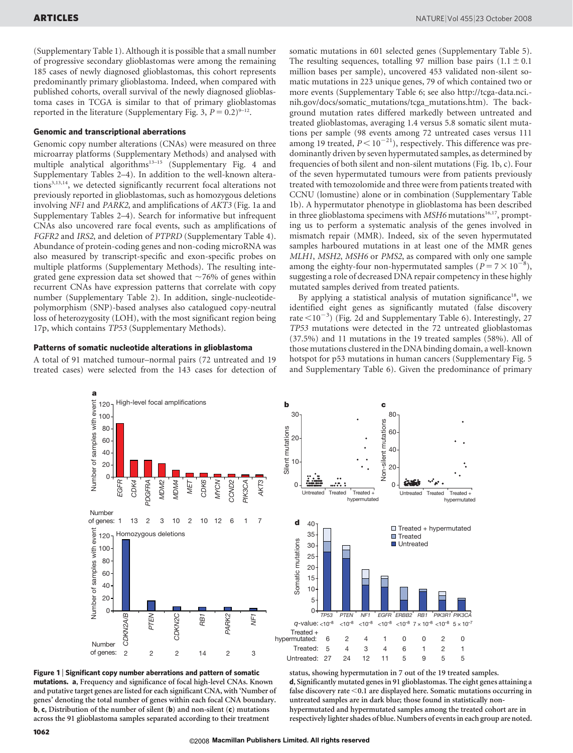(Supplementary Table 1). Although it is possible that a small number of progressive secondary glioblastomas were among the remaining 185 cases of newly diagnosed glioblastomas, this cohort represents predominantly primary glioblastoma. Indeed, when compared with published cohorts, overall survival of the newly diagnosed glioblastoma cases in TCGA is similar to that of primary glioblastomas reported in the literature (Supplementary Fig. 3,  $P = 0.2$ )<sup>9–12</sup>.

#### Genomic and transcriptional aberrations

Genomic copy number alterations (CNAs) were measured on three microarray platforms (Supplementary Methods) and analysed with multiple analytical algorithms<sup>13–15</sup> (Supplementary Fig. 4 and Supplementary Tables 2–4). In addition to the well-known alterations<sup>3,13,14</sup>, we detected significantly recurrent focal alterations not previously reported in glioblastomas, such as homozygous deletions involving NF1 and PARK2, and amplifications of AKT3 (Fig. 1a and Supplementary Tables 2–4). Search for informative but infrequent CNAs also uncovered rare focal events, such as amplifications of FGFR2 and IRS2, and deletion of PTPRD (Supplementary Table 4). Abundance of protein-coding genes and non-coding microRNA was also measured by transcript-specific and exon-specific probes on multiple platforms (Supplementary Methods). The resulting integrated gene expression data set showed that  $\sim$ 76% of genes within recurrent CNAs have expression patterns that correlate with copy number (Supplementary Table 2). In addition, single-nucleotidepolymorphism (SNP)-based analyses also catalogued copy-neutral loss of heterozygosity (LOH), with the most significant region being 17p, which contains TP53 (Supplementary Methods).

### Patterns of somatic nucleotide alterations in glioblastoma

A total of 91 matched tumour–normal pairs (72 untreated and 19 treated cases) were selected from the 143 cases for detection of somatic mutations in 601 selected genes (Supplementary Table 5). The resulting sequences, totalling 97 million base pairs  $(1.1 \pm 0.1)$ million bases per sample), uncovered 453 validated non-silent somatic mutations in 223 unique genes, 79 of which contained two or more events (Supplementary Table 6; see also [http://tcga-data.nci.](http://tcgaata.nci.nih.gov/docs/somatic_mutations/tcga_mutations.htm) [nih.gov/docs/somatic\\_mutations/tcga\\_mutations.htm\)](http://tcgaata.nci.nih.gov/docs/somatic_mutations/tcga_mutations.htm). The background mutation rates differed markedly between untreated and treated glioblastomas, averaging 1.4 versus 5.8 somatic silent mutations per sample (98 events among 72 untreated cases versus 111 among 19 treated,  $P < 10^{-21}$ ), respectively. This difference was predominantly driven by seven hypermutated samples, as determined by frequencies of both silent and non-silent mutations (Fig. 1b, c). Four of the seven hypermutated tumours were from patients previously treated with temozolomide and three were from patients treated with CCNU (lomustine) alone or in combination (Supplementary Table 1b). A hypermutator phenotype in glioblastoma has been described in three glioblastoma specimens with  $MSH6$  mutations<sup>16,17</sup>, prompting us to perform a systematic analysis of the genes involved in mismatch repair (MMR). Indeed, six of the seven hypermutated samples harboured mutations in at least one of the MMR genes MLH1, MSH2, MSH6 or PMS2, as compared with only one sample among the eighty-four non-hypermutated samples ( $P = 7 \times 10^{-7}$  $8$ ). suggesting a role of decreased DNA repair competency in these highly mutated samples derived from treated patients.

By applying a statistical analysis of mutation significance<sup>18</sup>, we identified eight genes as significantly mutated (false discovery rate  $\leq$ 10<sup>-3</sup>) (Fig. 2d and Supplementary Table 6). Interestingly, 27 TP53 mutations were detected in the 72 untreated glioblastomas (37.5%) and 11 mutations in the 19 treated samples (58%). All of those mutations clustered in the DNA binding domain, a well-known hotspot for p53 mutations in human cancers (Supplementary Fig. 5) and Supplementary Table 6). Given the predominance of primary





status, showing hypermutation in 7 out of the 19 treated samples. d, Significantly mutated genes in 91 glioblastomas. The eight genes attaining a false discovery rate  $<$  0.1 are displayed here. Somatic mutations occurring in untreated samples are in dark blue; those found in statistically nonhypermutated and hypermutated samples among the treated cohort are in respectively lighter shades of blue. Numbers of events in each group are noted.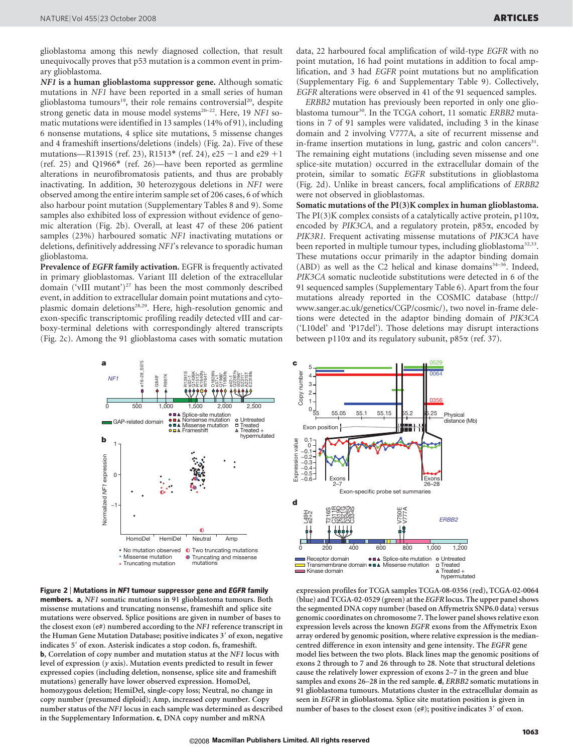glioblastoma among this newly diagnosed collection, that result unequivocally proves that p53 mutation is a common event in primary glioblastoma.

NF1 is a human glioblastoma suppressor gene. Although somatic mutations in NF1 have been reported in a small series of human glioblastoma tumours<sup>19</sup>, their role remains controversial<sup>20</sup>, despite strong genetic data in mouse model systems<sup>20–22</sup>. Here, 19 NF1 somatic mutations were identified in 13 samples (14% of 91), including 6 nonsense mutations, 4 splice site mutations, 5 missense changes and 4 frameshift insertions/deletions (indels) (Fig. 2a). Five of these mutations—R1391S (ref. 23), R1513\* (ref. 24), e25 -1 and e29 +1 (ref. 25) and Q1966\* (ref. 26)—have been reported as germline alterations in neurofibromatosis patients, and thus are probably inactivating. In addition, 30 heterozygous deletions in NF1 were observed among the entire interim sample set of 206 cases, 6 of which also harbour point mutation (Supplementary Tables 8 and 9). Some samples also exhibited loss of expression without evidence of genomic alteration (Fig. 2b). Overall, at least 47 of these 206 patient samples (23%) harboured somatic NF1 inactivating mutations or deletions, definitively addressing NF1's relevance to sporadic human glioblastoma.

Prevalence of EGFR family activation. EGFR is frequently activated in primary glioblastomas. Variant III deletion of the extracellular domain ('vIII mutant')<sup>27</sup> has been the most commonly described event, in addition to extracellular domain point mutations and cytoplasmic domain deletions<sup>28,29</sup>. Here, high-resolution genomic and exon-specific transcriptomic profiling readily detected vIII and carboxy-terminal deletions with correspondingly altered transcripts (Fig. 2c). Among the 91 glioblastoma cases with somatic mutation





data, 22 harboured focal amplification of wild-type EGFR with no point mutation, 16 had point mutations in addition to focal amplification, and 3 had EGFR point mutations but no amplification (Supplementary Fig. 6 and Supplementary Table 9). Collectively, EGFR alterations were observed in 41 of the 91 sequenced samples.

ERBB2 mutation has previously been reported in only one glioblastoma tumour<sup>30</sup>. In the TCGA cohort, 11 somatic ERBB2 mutations in 7 of 91 samples were validated, including 3 in the kinase domain and 2 involving V777A, a site of recurrent missense and in-frame insertion mutations in lung, gastric and colon cancers $31$ . The remaining eight mutations (including seven missense and one splice-site mutation) occurred in the extracellular domain of the protein, similar to somatic EGFR substitutions in glioblastoma (Fig. 2d). Unlike in breast cancers, focal amplifications of ERBB2 were not observed in glioblastomas.

Somatic mutations of the PI(3)K complex in human glioblastoma. The PI(3)K complex consists of a catalytically active protein,  $p110\alpha$ , encoded by PIK3CA, and a regulatory protein, p85a, encoded by PIK3R1. Frequent activating missense mutations of PIK3CA have been reported in multiple tumour types, including glioblastoma<sup>32,33</sup>. These mutations occur primarily in the adaptor binding domain (ABD) as well as the C2 helical and kinase domains $34-36$ . Indeed, PIK3CA somatic nucleotide substitutions were detected in 6 of the 91 sequenced samples (Supplementary Table 6). Apart from the four mutations already reported in the COSMIC database [\(http://](http://www.sanger.ac.uk/genetics/CGP/cosmic) [www.sanger.ac.uk/genetics/CGP/cosmic/\)](http://www.sanger.ac.uk/genetics/CGP/cosmic), two novel in-frame deletions were detected in the adaptor binding domain of PIK3CA ('L10del' and 'P17del'). Those deletions may disrupt interactions between p110 $\alpha$  and its regulatory subunit, p85 $\alpha$  (ref. 37).



expression profiles for TCGA samples TCGA-08-0356 (red), TCGA-02-0064 (blue) and TCGA-02-0529 (green) at the EGFRlocus. The upper panel shows the segmented DNA copy number (based on Affymetrix SNP6.0 data) versus genomic coordinates on chromosome 7. The lower panel shows relative exon expression levels across the known EGFR exons from the Affymetrix Exon array ordered by genomic position, where relative expression is the mediancentred difference in exon intensity and gene intensity. The EGFR gene model lies between the two plots. Black lines map the genomic positions of exons 2 through to 7 and 26 through to 28. Note that structural deletions cause the relatively lower expression of exons 2–7 in the green and blue samples and exons 26–28 in the red sample. d, ERBB2 somatic mutations in 91 glioblastoma tumours. Mutations cluster in the extracellular domain as seen in EGFR in glioblastoma. Splice site mutation position is given in number of bases to the closest exon (e#); positive indicates 3' of exon.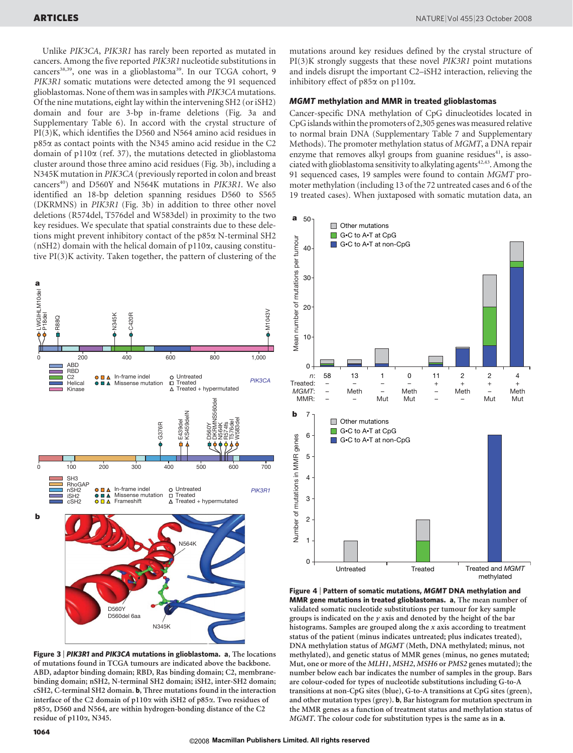Unlike PIK3CA, PIK3R1 has rarely been reported as mutated in cancers. Among the five reported PIK3R1 nucleotide substitutions in cancers<sup>38,39</sup>, one was in a glioblastoma<sup>39</sup>. In our TCGA cohort, 9 PIK3R1 somatic mutations were detected among the 91 sequenced glioblastomas. None of them was in samples with PIK3CA mutations. Of the nine mutations, eight lay within the intervening SH2 (or iSH2) domain and four are 3-bp in-frame deletions (Fig. 3a and Supplementary Table 6). In accord with the crystal structure of PI(3)K, which identifies the D560 and N564 amino acid residues in  $p85\alpha$  as contact points with the N345 amino acid residue in the C2 domain of  $p110\alpha$  (ref. 37), the mutations detected in glioblastoma cluster around those three amino acid residues (Fig. 3b), including a N345K mutation in PIK3CA (previously reported in colon and breast cancers<sup>40</sup>) and D560Y and N564K mutations in PIK3R1. We also identified an 18-bp deletion spanning residues D560 to S565 (DKRMNS) in PIK3R1 (Fig. 3b) in addition to three other novel deletions (R574del, T576del and W583del) in proximity to the two key residues. We speculate that spatial constraints due to these deletions might prevent inhibitory contact of the p85a N-terminal SH2 (nSH2) domain with the helical domain of  $p110\alpha$ , causing constitutive PI(3)K activity. Taken together, the pattern of clustering of the



Figure 3 <sup>|</sup> PIK3R1 and PIK3CA mutations in glioblastoma. a, The locations of mutations found in TCGA tumours are indicated above the backbone. ABD, adaptor binding domain; RBD, Ras binding domain; C2, membranebinding domain; nSH2, N-terminal SH2 domain; iSH2, inter-SH2 domain; cSH2, C-terminal SH2 domain. b, Three mutations found in the interaction interface of the C2 domain of p110a with iSH2 of p85a. Two residues of p85a, D560 and N564, are within hydrogen-bonding distance of the C2 residue of p110 $\alpha$ , N345.

mutations around key residues defined by the crystal structure of PI(3)K strongly suggests that these novel PIK3R1 point mutations and indels disrupt the important C2–iSH2 interaction, relieving the inhibitory effect of p85a on p110a.

#### MGMT methylation and MMR in treated glioblastomas

Cancer-specific DNA methylation of CpG dinucleotides located in CpG islands within the promoters of 2,305 genes was measured relative to normal brain DNA (Supplementary Table 7 and Supplementary Methods). The promoter methylation status of MGMT, a DNA repair enzyme that removes alkyl groups from guanine residues $41$ , is associated with glioblastoma sensitivity to alkylating agents<sup>42,43</sup>. Among the 91 sequenced cases, 19 samples were found to contain MGMT promoter methylation (including 13 of the 72 untreated cases and 6 of the 19 treated cases). When juxtaposed with somatic mutation data, an



Figure 4 <sup>|</sup> Pattern of somatic mutations, MGMT DNA methylation and MMR gene mutations in treated glioblastomas. a, The mean number of validated somatic nucleotide substitutions per tumour for key sample groups is indicated on the  $y$  axis and denoted by the height of the bar histograms. Samples are grouped along the  $x$  axis according to treatment status of the patient (minus indicates untreated; plus indicates treated), DNA methylation status of MGMT (Meth, DNA methylated; minus, not methylated), and genetic status of MMR genes (minus, no genes mutated; Mut, one or more of the MLH1, MSH2, MSH6 or PMS2 genes mutated); the number below each bar indicates the number of samples in the group. Bars are colour-coded for types of nucleotide substitutions including G-to-A transitions at non-CpG sites (blue), G-to-A transitions at CpG sites (green), and other mutation types (grey). b, Bar histogram for mutation spectrum in the MMR genes as a function of treatment status and methylation status of MGMT. The colour code for substitution types is the same as in a.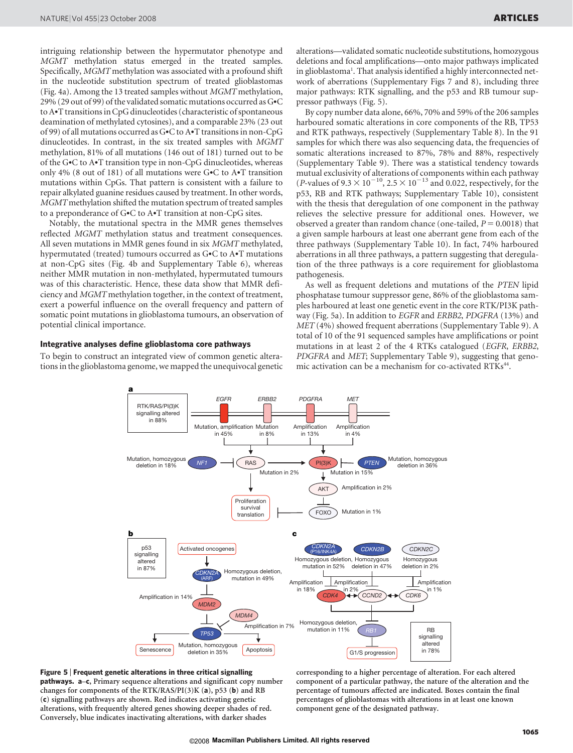intriguing relationship between the hypermutator phenotype and MGMT methylation status emerged in the treated samples. Specifically, MGMT methylation was associated with a profound shift in the nucleotide substitution spectrum of treated glioblastomas (Fig. 4a). Among the 13 treated samples without MGMT methylation, 29% (29 out of 99) of the validated somatic mutations occurred as  $G\text{-}C$ to A $\cdot$ T transitions in CpG dinucleotides (characteristic of spontaneous deamination of methylated cytosines), and a comparable 23% (23 out of 99) of all mutations occurred as  $G\bullet C$  to  $A\bullet T$  transitions in non-CpG dinucleotides. In contrast, in the six treated samples with MGMT methylation, 81% of all mutations (146 out of 181) turned out to be of the G•C to A•T transition type in non-CpG dinucleotides, whereas only 4% (8 out of 181) of all mutations were  $G\text{-}C$  to A $\text{-}T$  transition mutations within CpGs. That pattern is consistent with a failure to repair alkylated guanine residues caused by treatment. In other words, MGMT methylation shifted the mutation spectrum of treated samples to a preponderance of  $G \cdot C$  to  $A \cdot T$  transition at non-CpG sites.

Notably, the mutational spectra in the MMR genes themselves reflected MGMT methylation status and treatment consequences. All seven mutations in MMR genes found in six MGMT methylated, hypermutated (treated) tumours occurred as  $G\bullet C$  to  $A\bullet T$  mutations at non-CpG sites (Fig. 4b and Supplementary Table 6), whereas neither MMR mutation in non-methylated, hypermutated tumours was of this characteristic. Hence, these data show that MMR deficiency and MGMT methylation together, in the context of treatment, exert a powerful influence on the overall frequency and pattern of somatic point mutations in glioblastoma tumours, an observation of potential clinical importance.

#### Integrative analyses define glioblastoma core pathways

To begin to construct an integrated view of common genetic alterations in the glioblastoma genome, we mapped the unequivocal genetic alterations—validated somatic nucleotide substitutions, homozygous deletions and focal amplifications—onto major pathways implicated in glioblastoma<sup>1</sup>. That analysis identified a highly interconnected network of aberrations (Supplementary Figs 7 and 8), including three major pathways: RTK signalling, and the p53 and RB tumour suppressor pathways (Fig. 5).

By copy number data alone, 66%, 70% and 59% of the 206 samples harboured somatic alterations in core components of the RB, TP53 and RTK pathways, respectively (Supplementary Table 8). In the 91 samples for which there was also sequencing data, the frequencies of somatic alterations increased to 87%, 78% and 88%, respectively (Supplementary Table 9). There was a statistical tendency towards mutual exclusivity of alterations of components within each pathway (*P*-values of  $9.3 \times 10^{-10}$ ,  $2.5 \times 10^{-13}$  and 0.022, respectively, for the p53, RB and RTK pathways; Supplementary Table 10), consistent with the thesis that deregulation of one component in the pathway relieves the selective pressure for additional ones. However, we observed a greater than random chance (one-tailed,  $P = 0.0018$ ) that a given sample harbours at least one aberrant gene from each of the three pathways (Supplementary Table 10). In fact, 74% harboured aberrations in all three pathways, a pattern suggesting that deregulation of the three pathways is a core requirement for glioblastoma pathogenesis.

As well as frequent deletions and mutations of the PTEN lipid phosphatase tumour suppressor gene, 86% of the glioblastoma samples harboured at least one genetic event in the core RTK/PI3K pathway (Fig. 5a). In addition to EGFR and ERBB2, PDGFRA (13%) and MET (4%) showed frequent aberrations (Supplementary Table 9). A total of 10 of the 91 sequenced samples have amplifications or point mutations in at least 2 of the 4 RTKs catalogued (EGFR, ERBB2, PDGFRA and MET; Supplementary Table 9), suggesting that genomic activation can be a mechanism for co-activated RTKs<sup>44</sup>.





corresponding to a higher percentage of alteration. For each altered component of a particular pathway, the nature of the alteration and the percentage of tumours affected are indicated. Boxes contain the final percentages of glioblastomas with alterations in at least one known component gene of the designated pathway.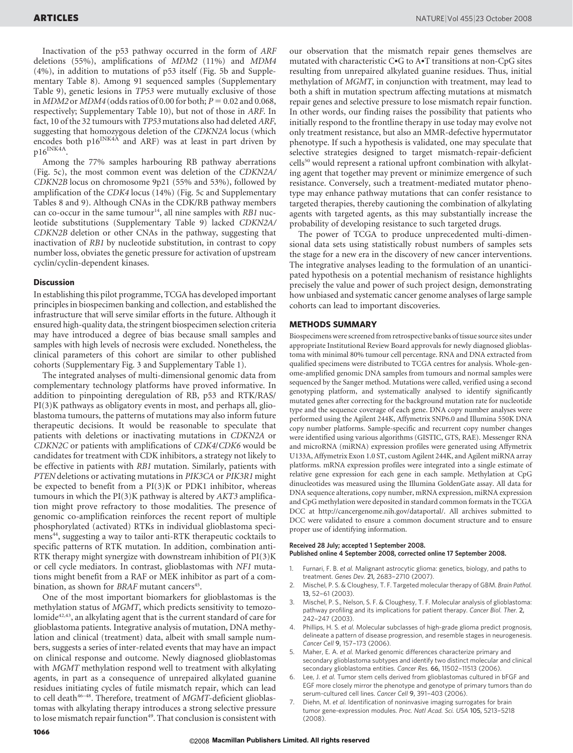Inactivation of the p53 pathway occurred in the form of ARF deletions (55%), amplifications of MDM2 (11%) and MDM4 (4%), in addition to mutations of p53 itself (Fig. 5b and Supplementary Table 8). Among 91 sequenced samples (Supplementary Table 9), genetic lesions in TP53 were mutually exclusive of those in MDM2 or MDM4 (odds ratios of 0.00 for both;  $P = 0.02$  and 0.068, respectively; Supplementary Table 10), but not of those in ARF. In fact, 10 of the 32 tumours with TP53 mutations also had deleted ARF, suggesting that homozygous deletion of the CDKN2A locus (which encodes both  $p16^{INK4A}$  and ARF) was at least in part driven by  $p16$ <sup>INK4A</sup>

Among the 77% samples harbouring RB pathway aberrations (Fig. 5c), the most common event was deletion of the CDKN2A/ CDKN2B locus on chromosome 9p21 (55% and 53%), followed by amplification of the CDK4 locus (14%) (Fig. 5c and Supplementary Tables 8 and 9). Although CNAs in the CDK/RB pathway members can co-occur in the same tumour<sup>14</sup>, all nine samples with RB1 nucleotide substitutions (Supplementary Table 9) lacked CDKN2A/ CDKN2B deletion or other CNAs in the pathway, suggesting that inactivation of RB1 by nucleotide substitution, in contrast to copy number loss, obviates the genetic pressure for activation of upstream cyclin/cyclin-dependent kinases.

#### **Discussion**

In establishing this pilot programme, TCGA has developed important principles in biospecimen banking and collection, and established the infrastructure that will serve similar efforts in the future. Although it ensured high-quality data, the stringent biospecimen selection criteria may have introduced a degree of bias because small samples and samples with high levels of necrosis were excluded. Nonetheless, the clinical parameters of this cohort are similar to other published cohorts (Supplementary Fig. 3 and Supplementary Table 1).

The integrated analyses of multi-dimensional genomic data from complementary technology platforms have proved informative. In addition to pinpointing deregulation of RB, p53 and RTK/RAS/ PI(3)K pathways as obligatory events in most, and perhaps all, glioblastoma tumours, the patterns of mutations may also inform future therapeutic decisions. It would be reasonable to speculate that patients with deletions or inactivating mutations in CDKN2A or CDKN2C or patients with amplifications of CDK4/CDK6 would be candidates for treatment with CDK inhibitors, a strategy not likely to be effective in patients with RB1 mutation. Similarly, patients with PTEN deletions or activating mutations in PIK3CA or PIK3R1 might be expected to benefit from a PI(3)K or PDK1 inhibitor, whereas tumours in which the  $PI(3)K$  pathway is altered by  $AKT3$  amplification might prove refractory to those modalities. The presence of genomic co-amplification reinforces the recent report of multiple phosphorylated (activated) RTKs in individual glioblastoma specimens<sup>44</sup>, suggesting a way to tailor anti-RTK therapeutic cocktails to specific patterns of RTK mutation. In addition, combination anti-RTK therapy might synergize with downstream inhibition of PI(3)K or cell cycle mediators. In contrast, glioblastomas with NF1 mutations might benefit from a RAF or MEK inhibitor as part of a combination, as shown for BRAF mutant cancers<sup>45</sup>.

One of the most important biomarkers for glioblastomas is the methylation status of MGMT, which predicts sensitivity to temozolomide<sup>42,43</sup>, an alkylating agent that is the current standard of care for glioblastoma patients. Integrative analysis of mutation, DNA methylation and clinical (treatment) data, albeit with small sample numbers, suggests a series of inter-related events that may have an impact on clinical response and outcome. Newly diagnosed glioblastomas with MGMT methylation respond well to treatment with alkylating agents, in part as a consequence of unrepaired alkylated guanine residues initiating cycles of futile mismatch repair, which can lead to cell death<sup>46-48</sup>. Therefore, treatment of MGMT-deficient glioblastomas with alkylating therapy introduces a strong selective pressure to lose mismatch repair function<sup>49</sup>. That conclusion is consistent with our observation that the mismatch repair genes themselves are mutated with characteristic C $\bullet$ G to A $\bullet$ T transitions at non-CpG sites resulting from unrepaired alkylated guanine residues. Thus, initial methylation of MGMT, in conjunction with treatment, may lead to both a shift in mutation spectrum affecting mutations at mismatch repair genes and selective pressure to lose mismatch repair function. In other words, our finding raises the possibility that patients who initially respond to the frontline therapy in use today may evolve not only treatment resistance, but also an MMR-defective hypermutator phenotype. If such a hypothesis is validated, one may speculate that selective strategies designed to target mismatch-repair-deficient cells<sup>50</sup> would represent a rational upfront combination with alkylating agent that together may prevent or minimize emergence of such resistance. Conversely, such a treatment-mediated mutator phenotype may enhance pathway mutations that can confer resistance to targeted therapies, thereby cautioning the combination of alkylating agents with targeted agents, as this may substantially increase the probability of developing resistance to such targeted drugs.

The power of TCGA to produce unprecedented multi-dimensional data sets using statistically robust numbers of samples sets the stage for a new era in the discovery of new cancer interventions. The integrative analyses leading to the formulation of an unanticipated hypothesis on a potential mechanism of resistance highlights precisely the value and power of such project design, demonstrating how unbiased and systematic cancer genome analyses of large sample cohorts can lead to important discoveries.

## METHODS SUMMARY

Biospecimens were screened from retrospective banks of tissue source sites under appropriate Institutional Review Board approvals for newly diagnosed glioblastoma with minimal 80% tumour cell percentage. RNA and DNA extracted from qualified specimens were distributed to TCGA centres for analysis. Whole-genome-amplified genomic DNA samples from tumours and normal samples were sequenced by the Sanger method. Mutations were called, verified using a second genotyping platform, and systematically analysed to identify significantly mutated genes after correcting for the background mutation rate for nucleotide type and the sequence coverage of each gene. DNA copy number analyses were performed using the Agilent 244K, Affymetrix SNP6.0 and Illumina 550K DNA copy number platforms. Sample-specific and recurrent copy number changes were identified using various algorithms (GISTIC, GTS, RAE). Messenger RNA and microRNA (miRNA) expression profiles were generated using Affymetrix U133A, Affymetrix Exon 1.0 ST, custom Agilent 244K, and Agilent miRNA array platforms. mRNA expression profiles were integrated into a single estimate of relative gene expression for each gene in each sample. Methylation at CpG dinucleotides was measured using the Illumina GoldenGate assay. All data for DNA sequence alterations, copy number, mRNA expression, miRNA expression and CpG methylation were deposited in standard common formats in the TCGA DCC at [http://cancergenome.nih.gov/dataportal/](http://cancergenome.nih.gov/dataportal). All archives submitted to DCC were validated to ensure a common document structure and to ensure proper use of identifying information.

#### Received 28 July; accepted 1 September 2008. Published online 4 September 2008, corrected online 17 September 2008.

- 1. Furnari, F. B. et al. Malignant astrocytic glioma: genetics, biology, and paths to treatment. Genes Dev. 21, 2683–2710 (2007).
- 2. Mischel, P. S. & Cloughesy, T. F. Targeted molecular therapy of GBM. Brain Pathol. 13, 52–61 (2003).
- Mischel, P. S., Nelson, S. F. & Cloughesy, T. F. Molecular analysis of glioblastoma: pathway profiling and its implications for patient therapy. Cancer Biol. Ther. 2, 242–247 (2003).
- Phillips, H. S. et al. Molecular subclasses of high-grade glioma predict prognosis, delineate a pattern of disease progression, and resemble stages in neurogenesis. Cancer Cell 9, 157–173 (2006).
- Maher, E. A. et al. Marked genomic differences characterize primary and secondary glioblastoma subtypes and identify two distinct molecular and clinical secondary glioblastoma entities. Cancer Res. 66, 11502–11513 (2006).
- Lee, J. et al. Tumor stem cells derived from glioblastomas cultured in bFGF and EGF more closely mirror the phenotype and genotype of primary tumors than do serum-cultured cell lines. Cancer Cell 9, 391–403 (2006).
- Diehn, M. et al. Identification of noninvasive imaging surrogates for brain tumor gene-expression modules. Proc. Natl Acad. Sci. USA 105, 5213–5218 (2008).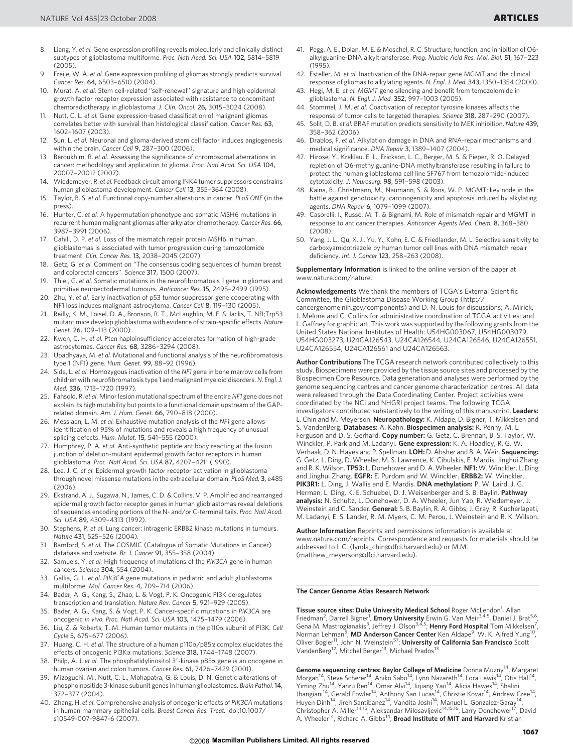- 8. Liang, Y. et al. Gene expression profiling reveals molecularly and clinically distinct subtypes of glioblastoma multiforme. Proc. Natl Acad. Sci. USA 102, 5814–5819  $(2005)$
- 9. Freije, W. A. et al. Gene expression profiling of gliomas strongly predicts survival. Cancer Res. 64, 6503–6510 (2004).
- 10. Murat, A. et al. Stem cell-related ''self-renewal'' signature and high epidermal growth factor receptor expression associated with resistance to concomitant chemoradiotherapy in glioblastoma. J. Clin. Oncol. 26, 3015–3024 (2008).
- 11. Nutt, C. L. et al. Gene expression-based classification of malignant gliomas correlates better with survival than histological classification. Cancer Res. 63, 1602–1607 (2003).
- 12. Sun, L. et al. Neuronal and glioma-derived stem cell factor induces angiogenesis within the brain. Cancer Cell 9, 287–300 (2006).
- 13. Beroukhim, R. et al. Assessing the significance of chromosomal aberrations in cancer: methodology and application to glioma. Proc. Natl Acad. Sci. USA 104, 20007–20012 (2007).
- 14. Wiedemeyer, R. et al. Feedback circuit among INK4 tumor suppressors constrains human glioblastoma development. Cancer Cell 13, 355–364 (2008).
- 15. Taylor, B. S. et al. Functional copy-number alterations in cancer. PLoS ONE (in the press).
- 16. Hunter, C. et al. A hypermutation phenotype and somatic MSH6 mutations in recurrent human malignant gliomas after alkylator chemotherapy. Cancer Res. 66, 3987–3991 (2006).
- 17. Cahill, D. P. et al. Loss of the mismatch repair protein MSH6 in human glioblastomas is associated with tumor progression during temozolomide treatment. Clin. Cancer Res. 13, 2038–2045 (2007).
- 18. Getz, G. et al. Comment on ''The consensus coding sequences of human breast and colorectal cancers''. Science 317, 1500 (2007).
- 19. Thiel, G. et al. Somatic mutations in the neurofibromatosis 1 gene in gliomas and primitive neuroectodermal tumours. Anticancer Res. 15, 2495–2499 (1995).
- 20. Zhu, Y. et al. Early inactivation of p53 tumor suppressor gene cooperating with NF1 loss induces malignant astrocytoma. Cancer Cell 8, 119–130 (2005).
- 21. Reilly, K. M., Loisel, D. A., Bronson, R. T., McLaughlin, M. E. & Jacks, T. Nf1;Trp53 mutant mice develop glioblastoma with evidence of strain-specific effects. Nature Genet. 26, 109–113 (2000).
- 22. Kwon, C. H. et al. Pten haploinsufficiency accelerates formation of high-grade astrocytomas. Cancer Res. 68, 3286–3294 (2008).
- Upadhyaya, M. et al. Mutational and functional analysis of the neurofibromatosis type 1 (NF1) gene. Hum. Genet. 99, 88–92 (1996).
- 24. Side, L. et al. Homozygous inactivation of the NF1 gene in bone marrow cells from children with neurofibromatosis type 1 and malignant myeloid disorders. N. Engl. J. Med. 336, 1713–1720 (1997).
- 25. Fahsold, R. et al. Minor lesion mutational spectrum of the entire NF1 gene does not explain its high mutability but points to a functional domain upstream of the GAPrelated domain. Am. J. Hum. Genet. 66, 790–818 (2000).
- 26. Messiaen, L. M. et al. Exhaustive mutation analysis of the NF1 gene allows identification of 95% of mutations and reveals a high frequency of unusual splicing defects. Hum. Mutat. 15, 541–555 (2000).
- 27. Humphrey, P. A. et al. Anti-synthetic peptide antibody reacting at the fusion junction of deletion-mutant epidermal growth factor receptors in human glioblastoma. Proc. Natl Acad. Sci. USA 87, 4207–4211 (1990).
- 28. Lee, J. C. et al. Epidermal growth factor receptor activation in glioblastoma through novel missense mutations in the extracellular domain. PLoS Med. 3, e485  $(2006)$
- 29. Ekstrand, A. J., Sugawa, N., James, C. D. & Collins, V. P. Amplified and rearranged epidermal growth factor receptor genes in human glioblastomas reveal deletions of sequences encoding portions of the N- and/or C-terminal tails. Proc. Natl Acad. Sci. USA 89, 4309–4313 (1992).
- 30. Stephens, P. et al. Lung cancer: intragenic ERBB2 kinase mutations in tumours. Nature 431, 525–526 (2004).
- 31. Bamford, S. et al. The COSMIC (Catalogue of Somatic Mutations in Cancer) database and website. Br. J. Cancer 91, 355–358 (2004).
- 32. Samuels, Y. et al. High frequency of mutations of the PIK3CA gene in human cancers. Science 304, 554 (2004).
- 33. Gallia, G. L. et al. PIK3CA gene mutations in pediatric and adult glioblastoma multiforme. Mol. Cancer Res. 4, 709–714 (2006).
- 34. Bader, A. G., Kang, S., Zhao, L. & Vogt, P. K. Oncogenic PI3K deregulates transcription and translation. Nature Rev. Cancer 5, 921–929 (2005).
- 35. Bader, A. G., Kang, S. & Vogt, P. K. Cancer-specific mutations in PIK3CA are oncogenic in vivo. Proc. Natl Acad. Sci. USA 103, 1475–1479 (2006).
- 36. Liu, Z. & Roberts, T. M. Human tumor mutants in the p110 $\alpha$  subunit of PI3K. Cell Cycle 5, 675–677 (2006).
- 37. Huang, C. H. et al. The structure of a human p110a/p85a complex elucidates the effects of oncogenic PI3Ka mutations. Science 318, 1744–1748 (2007).
- 38. Philp, A. J. et al. The phosphatidylinositol  $3'$ -kinase p85 $\alpha$  gene is an oncogene in human ovarian and colon tumors. Cancer Res. 61, 7426–7429 (2001).
- 39. Mizoguchi, M., Nutt, C. L., Mohapatra, G. & Louis, D. N. Genetic alterations of phosphoinositide 3-kinase subunit genes in human glioblastomas. Brain Pathol.14, 372–377 (2004).
- 40. Zhang, H. et al. Comprehensive analysis of oncogenic effects of PIK3CA mutations in human mammary epithelial cells. Breast Cancer Res. Treat. doi:10.1007/ s10549-007-9847-6 (2007).
- 41. Pegg, A. E., Dolan, M. E. & Moschel, R. C. Structure, function, and inhibition of O6 alkylguanine-DNA alkyltransferase. Prog. Nucleic Acid Res. Mol. Biol. 51, 167–223 (1995).
- 42. Esteller, M. et al. Inactivation of the DNA-repair gene MGMT and the clinical response of gliomas to alkylating agents. N. Engl. J. Med. 343, 1350–1354 (2000).
- 43. Hegi, M. E. et al. MGMT gene silencing and benefit from temozolomide in glioblastoma. N. Engl. J. Med. 352, 997–1003 (2005).
- 44. Stommel, J. M. et al. Coactivation of receptor tyrosine kinases affects the response of tumor cells to targeted therapies. Science 318, 287–290 (2007).
- 45. Solit, D. B. et al. BRAF mutation predicts sensitivity to MEK inhibition. Nature 439, 358–362 (2006).
- 46. Drablos, F. et al. Alkylation damage in DNA and RNA-repair mechanisms and medical significance. DNA Repair 3, 1389–1407 (2004).
- 47. Hirose, Y., Kreklau, E. L., Erickson, L. C., Berger, M. S. & Pieper, R. O. Delayed repletion of O6-methylguanine-DNA methyltransferase resulting in failure to protect the human glioblastoma cell line SF767 from temozolomide-induced cytotoxicity. J. Neurosurg. 98, 591–598 (2003).
- 48. Kaina, B., Christmann, M., Naumann, S. & Roos, W. P. MGMT: key node in the battle against genotoxicity, carcinogenicity and apoptosis induced by alkylating agents. DNA Repair 6, 1079–1099 (2007).
- 49. Casorelli, I., Russo, M. T. & Bignami, M. Role of mismatch repair and MGMT in response to anticancer therapies. Anticancer Agents Med. Chem. 8, 368–380 (2008).
- 50. Yang, J. L., Qu, X. J., Yu, Y., Kohn, E. C. & Friedlander, M. L. Selective sensitivity to carboxyamidotriazole by human tumor cell lines with DNA mismatch repair deficiency. Int. J. Cancer 123, 258–263 (2008).

Supplementary Information is linked to the online version of the paper at <www.nature.com/nature>.

Acknowledgements We thank the members of TCGA's External Scientific Committee, the Glioblastoma Disease Working Group ([http://](http://cancergenome.nih.gov/components) [cancergenome.nih.gov/components](http://cancergenome.nih.gov/components)) and D. N. Louis for discussions; A. Mirick, J. Melone and C. Collins for administrative coordination of TCGA activities; and L. Gaffney for graphic art. This work was supported by the following grants from the

United States National Institutes of Health: U54HG003067, U54HG003079, U54HG003273, U24CA126543, U24CA126544, U24CA126546, U24CA126551, U24CA126554, U24CA126561 and U24CA126563.

Author Contributions The TCGA research network contributed collectively to this study. Biospecimens were provided by the tissue source sites and processed by the Biospecimen Core Resource. Data generation and analyses were performed by the genome sequencing centres and cancer genome characterization centres. All data were released through the Data Coordinating Center. Project activities were coordinated by the NCI and NHGRI project teams. The following TCGA investigators contributed substantively to the writing of this manuscript. Leaders: L. Chin and M. Meyerson. Neuropathology: K. Aldape, D. Bigner, T. Mikkelsen and S. VandenBerg. Databases: A. Kahn. Biospecimen analysis: R. Penny, M. L. Ferguson and D. S. Gerhard. Copy number: G. Getz, C. Brennan, B. S. Taylor, W. Winckler, P. Park and M. Ladanyi. Gene expression: K. A. Hoadley, R. G. W. Verhaak, D. N. Hayes and P. Spellman. LOH: D. Absher and B. A. Weir. Sequencing: G. Getz, L. Ding, D. Wheeler, M. S. Lawrence, K. Cibulskis, E. Mardis, Jinghui Zhang and R. K. Wilson. TP53: L. Donehower and D. A. Wheeler. NF1: W. Winckler, L. Ding and Jinghui Zhang. EGFR: E. Purdom and W. Winckler. ERBB2: W. Winckler. PIK3R1: L. Ding, J. Wallis and E. Mardis. DNA methylation: P. W. Laird, J. G. Herman, L. Ding, K. E. Schuebel, D. J. Weisenberger and S. B. Baylin. Pathway analysis: N. Schultz, L. Donehower, D. A. Wheeler, Jun Yao, R. Wiedemeyer, J. Weinstein and C. Sander. General: S. B. Baylin, R. A. Gibbs, J. Gray, R. Kucherlapati, M. Ladanyi, E. S. Lander, R. M. Myers, C. M. Perou, J. Weinstein and R. K. Wilson.

Author Information Reprints and permissions information is available at <www.nature.com/reprints>. Correspondence and requests for materials should be addressed to L.C. [\(lynda\\_chin@dfci.harvard.edu\)](mailto:lynda_chin@dfci.harvard.edu) or M.M. [\(matthew\\_meyerson@dfci.harvard.edu\)](mailto:matthew_meyerson@dfci.harvard.edu).

#### The Cancer Genome Atlas Research Network

Tissue source sites: Duke University Medical School Roger McLendon<sup>1</sup>, Allan Friedman<sup>2</sup>, Darrell Bigner<sup>1</sup>; **Emory University** Erwin G. Van Meir<sup>3,4,5</sup>, Daniel J. Brat<sup>5,6</sup>, Gena M. Mastrogianakis<sup>3</sup>, Jeffrey J. Olson<sup>3,4,5</sup>; Henry Ford Hospital Tom Mikkelsen<sup>7</sup> Norman Lehman<sup>8</sup>; MD Anderson Cancer Center Ken Aldape<sup>9</sup>, W. K. Alfred Yung<sup>10</sup>, Oliver Bogler<sup>11</sup>, John N. Weinstein<sup>57</sup>; University of California San Francisco Scott VandenBerg<sup>12</sup>, Mitchel Berger<sup>13</sup>, Michael Prados<sup>13</sup>

Genome sequencing centres: Baylor College of Medicine Donna Muzny<sup>14</sup>, Margaret Morgan<sup>14</sup>, Steve Scherer<sup>14</sup>, Aniko Sabo<sup>14</sup>, Lynn Nazareth<sup>14</sup>, Lora Lewis<sup>14</sup>, Otis Hall<sup>14</sup>, Yiming Zhu<sup>14</sup>, Yanru Ren<sup>14</sup>, Omar Alvi<sup>14</sup>, Jiqiang Yao<sup>14</sup>, Alicia Hawes<sup>14</sup>, Shalini Jhangiani<sup>14</sup>, Gerald Fowler<sup>14</sup>, Anthony San Lucas<sup>14</sup>, Christie Kovar<sup>14</sup>, Andrew Cree<sup>14</sup>, Huyen Dinh<sup>14</sup>, Jireh Santibanez<sup>14</sup>, Vandita Joshi<sup>14</sup>, Manuel L. Gonzalez-Garay<sup>14</sup>, Christopher A. Miller<sup>14,15</sup>, Aleksandar Milosavljevic<sup>14,15,16</sup>, Larry Donehower<sup>17</sup>, David A. Wheeler<sup>14</sup>, Richard A. Gibbs<sup>14</sup>; Broad Institute of MIT and Harvard Kristian